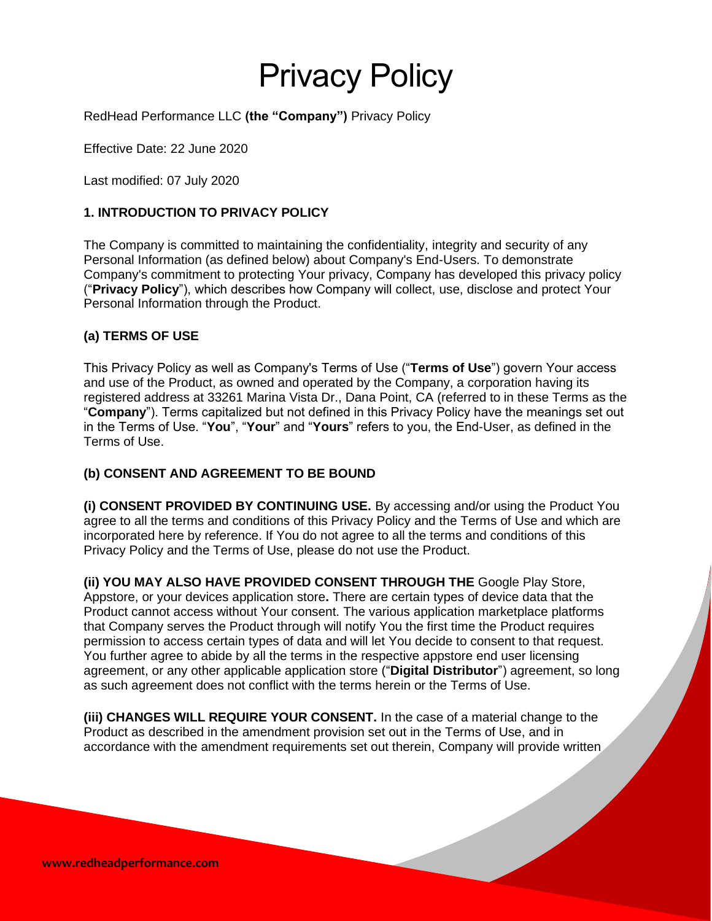# Privacy Policy

RedHead Performance LLC **(the "Company")** Privacy Policy

Effective Date: 22 June 2020

Last modified: 07 July 2020

# **1. INTRODUCTION TO PRIVACY POLICY**

The Company is committed to maintaining the confidentiality, integrity and security of any Personal Information (as defined below) about Company's End-Users. To demonstrate Company's commitment to protecting Your privacy, Company has developed this privacy policy ("**Privacy Policy**"), which describes how Company will collect, use, disclose and protect Your Personal Information through the Product.

## **(a) TERMS OF USE**

This Privacy Policy as well as Company's Terms of Use ("**Terms of Use**") govern Your access and use of the Product, as owned and operated by the Company, a corporation having its registered address at 33261 Marina Vista Dr., Dana Point, CA (referred to in these Terms as the "**Company**"). Terms capitalized but not defined in this Privacy Policy have the meanings set out in the Terms of Use. "**You**", "**Your**" and "**Yours**" refers to you, the End-User, as defined in the Terms of Use.

## **(b) CONSENT AND AGREEMENT TO BE BOUND**

**(i) CONSENT PROVIDED BY CONTINUING USE.** By accessing and/or using the Product You agree to all the terms and conditions of this Privacy Policy and the Terms of Use and which are incorporated here by reference. If You do not agree to all the terms and conditions of this Privacy Policy and the Terms of Use, please do not use the Product.

**(ii) YOU MAY ALSO HAVE PROVIDED CONSENT THROUGH THE** Google Play Store, Appstore, or your devices application store**.** There are certain types of device data that the Product cannot access without Your consent. The various application marketplace platforms that Company serves the Product through will notify You the first time the Product requires permission to access certain types of data and will let You decide to consent to that request. You further agree to abide by all the terms in the respective appstore end user licensing agreement, or any other applicable application store ("**Digital Distributor**") agreement, so long as such agreement does not conflict with the terms herein or the Terms of Use.

**(iii) CHANGES WILL REQUIRE YOUR CONSENT.** In the case of a material change to the Product as described in the amendment provision set out in the Terms of Use, and in accordance with the amendment requirements set out therein, Company will provide written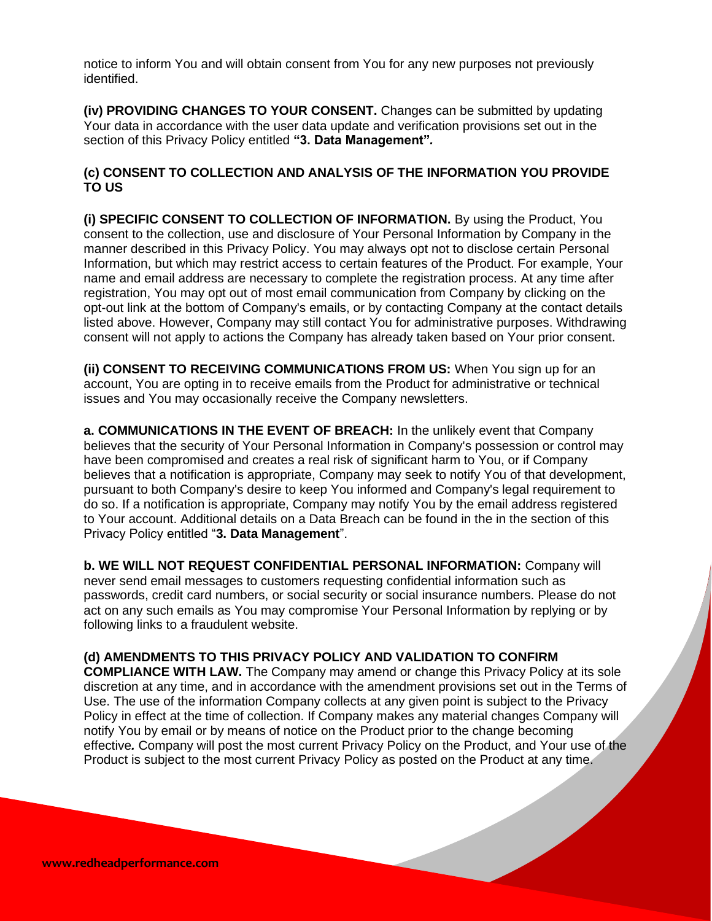notice to inform You and will obtain consent from You for any new purposes not previously identified.

**(iv) PROVIDING CHANGES TO YOUR CONSENT.** Changes can be submitted by updating Your data in accordance with the user data update and verification provisions set out in the section of this Privacy Policy entitled **"3. Data Management"***.*

## **(c) CONSENT TO COLLECTION AND ANALYSIS OF THE INFORMATION YOU PROVIDE TO US**

**(i) SPECIFIC CONSENT TO COLLECTION OF INFORMATION.** By using the Product, You consent to the collection, use and disclosure of Your Personal Information by Company in the manner described in this Privacy Policy. You may always opt not to disclose certain Personal Information, but which may restrict access to certain features of the Product. For example, Your name and email address are necessary to complete the registration process. At any time after registration, You may opt out of most email communication from Company by clicking on the opt-out link at the bottom of Company's emails, or by contacting Company at the contact details listed above. However, Company may still contact You for administrative purposes. Withdrawing consent will not apply to actions the Company has already taken based on Your prior consent.

**(ii) CONSENT TO RECEIVING COMMUNICATIONS FROM US:** When You sign up for an account, You are opting in to receive emails from the Product for administrative or technical issues and You may occasionally receive the Company newsletters.

**a. COMMUNICATIONS IN THE EVENT OF BREACH:** In the unlikely event that Company believes that the security of Your Personal Information in Company's possession or control may have been compromised and creates a real risk of significant harm to You, or if Company believes that a notification is appropriate, Company may seek to notify You of that development, pursuant to both Company's desire to keep You informed and Company's legal requirement to do so. If a notification is appropriate, Company may notify You by the email address registered to Your account. Additional details on a Data Breach can be found in the in the section of this Privacy Policy entitled "**3. Data Management**".

**b. WE WILL NOT REQUEST CONFIDENTIAL PERSONAL INFORMATION:** Company will never send email messages to customers requesting confidential information such as passwords, credit card numbers, or social security or social insurance numbers. Please do not act on any such emails as You may compromise Your Personal Information by replying or by following links to a fraudulent website.

#### **(d) AMENDMENTS TO THIS PRIVACY POLICY AND VALIDATION TO CONFIRM**

**COMPLIANCE WITH LAW.** The Company may amend or change this Privacy Policy at its sole discretion at any time, and in accordance with the amendment provisions set out in the Terms of Use. The use of the information Company collects at any given point is subject to the Privacy Policy in effect at the time of collection. If Company makes any material changes Company will notify You by email or by means of notice on the Product prior to the change becoming effective*.* Company will post the most current Privacy Policy on the Product, and Your use of the Product is subject to the most current Privacy Policy as posted on the Product at any time.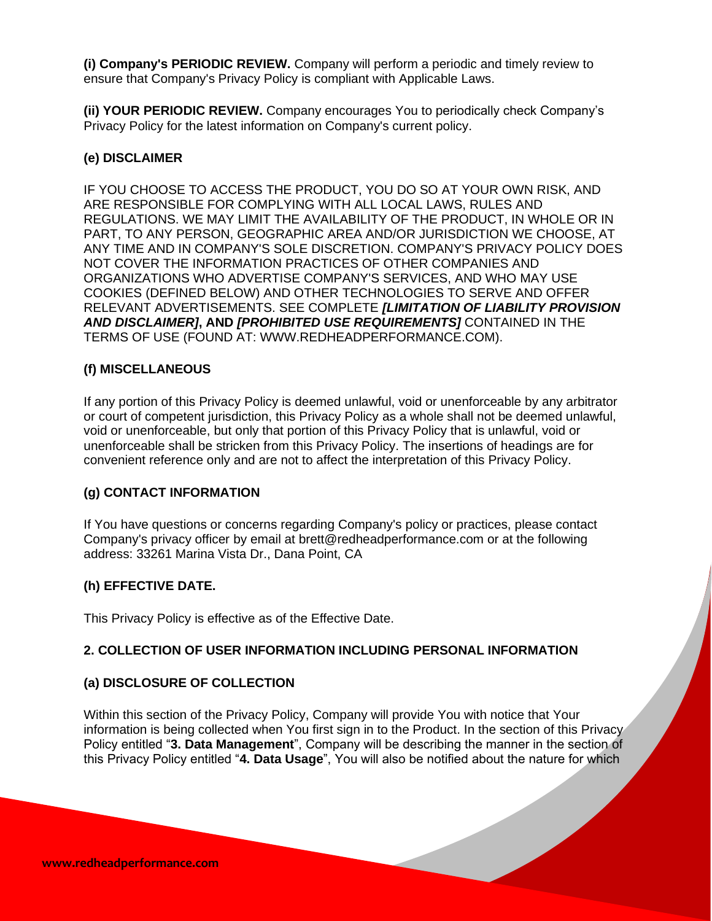**(i) Company's PERIODIC REVIEW.** Company will perform a periodic and timely review to ensure that Company's Privacy Policy is compliant with Applicable Laws.

**(ii) YOUR PERIODIC REVIEW.** Company encourages You to periodically check Company's Privacy Policy for the latest information on Company's current policy.

## **(e) DISCLAIMER**

IF YOU CHOOSE TO ACCESS THE PRODUCT, YOU DO SO AT YOUR OWN RISK, AND ARE RESPONSIBLE FOR COMPLYING WITH ALL LOCAL LAWS, RULES AND REGULATIONS. WE MAY LIMIT THE AVAILABILITY OF THE PRODUCT, IN WHOLE OR IN PART, TO ANY PERSON, GEOGRAPHIC AREA AND/OR JURISDICTION WE CHOOSE, AT ANY TIME AND IN COMPANY'S SOLE DISCRETION. COMPANY'S PRIVACY POLICY DOES NOT COVER THE INFORMATION PRACTICES OF OTHER COMPANIES AND ORGANIZATIONS WHO ADVERTISE COMPANY'S SERVICES, AND WHO MAY USE COOKIES (DEFINED BELOW) AND OTHER TECHNOLOGIES TO SERVE AND OFFER RELEVANT ADVERTISEMENTS. SEE COMPLETE *[LIMITATION OF LIABILITY PROVISION AND DISCLAIMER]***, AND** *[PROHIBITED USE REQUIREMENTS]* CONTAINED IN THE TERMS OF USE (FOUND AT: WWW.REDHEADPERFORMANCE.COM).

## **(f) MISCELLANEOUS**

If any portion of this Privacy Policy is deemed unlawful, void or unenforceable by any arbitrator or court of competent jurisdiction, this Privacy Policy as a whole shall not be deemed unlawful, void or unenforceable, but only that portion of this Privacy Policy that is unlawful, void or unenforceable shall be stricken from this Privacy Policy. The insertions of headings are for convenient reference only and are not to affect the interpretation of this Privacy Policy.

## **(g) CONTACT INFORMATION**

If You have questions or concerns regarding Company's policy or practices, please contact Company's privacy officer by email at brett@redheadperformance.com or at the following address: 33261 Marina Vista Dr., Dana Point, CA

## **(h) EFFECTIVE DATE.**

This Privacy Policy is effective as of the Effective Date.

## **2. COLLECTION OF USER INFORMATION INCLUDING PERSONAL INFORMATION**

## **(a) DISCLOSURE OF COLLECTION**

Within this section of the Privacy Policy, Company will provide You with notice that Your information is being collected when You first sign in to the Product. In the section of this Privacy Policy entitled "**3. Data Management**", Company will be describing the manner in the section of this Privacy Policy entitled "**4. Data Usage**", You will also be notified about the nature for which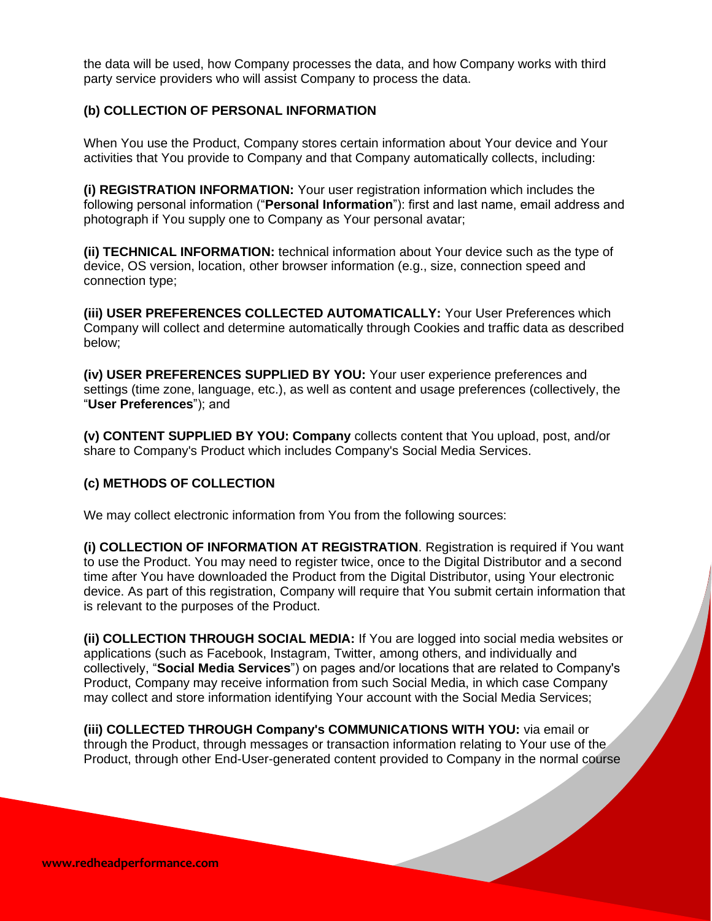the data will be used, how Company processes the data, and how Company works with third party service providers who will assist Company to process the data.

## **(b) COLLECTION OF PERSONAL INFORMATION**

When You use the Product, Company stores certain information about Your device and Your activities that You provide to Company and that Company automatically collects, including:

**(i) REGISTRATION INFORMATION:** Your user registration information which includes the following personal information ("**Personal Information**"): first and last name, email address and photograph if You supply one to Company as Your personal avatar;

**(ii) TECHNICAL INFORMATION:** technical information about Your device such as the type of device, OS version, location, other browser information (e.g., size, connection speed and connection type;

**(iii) USER PREFERENCES COLLECTED AUTOMATICALLY:** Your User Preferences which Company will collect and determine automatically through Cookies and traffic data as described below;

**(iv) USER PREFERENCES SUPPLIED BY YOU:** Your user experience preferences and settings (time zone, language, etc.), as well as content and usage preferences (collectively, the "**User Preferences**"); and

**(v) CONTENT SUPPLIED BY YOU: Company** collects content that You upload, post, and/or share to Company's Product which includes Company's Social Media Services.

#### **(c) METHODS OF COLLECTION**

We may collect electronic information from You from the following sources:

**(i) COLLECTION OF INFORMATION AT REGISTRATION**. Registration is required if You want to use the Product. You may need to register twice, once to the Digital Distributor and a second time after You have downloaded the Product from the Digital Distributor, using Your electronic device. As part of this registration, Company will require that You submit certain information that is relevant to the purposes of the Product.

**(ii) COLLECTION THROUGH SOCIAL MEDIA:** If You are logged into social media websites or applications (such as Facebook, Instagram, Twitter, among others, and individually and collectively, "**Social Media Services**") on pages and/or locations that are related to Company's Product, Company may receive information from such Social Media, in which case Company may collect and store information identifying Your account with the Social Media Services;

**(iii) COLLECTED THROUGH Company's COMMUNICATIONS WITH YOU:** via email or through the Product, through messages or transaction information relating to Your use of the Product, through other End-User-generated content provided to Company in the normal course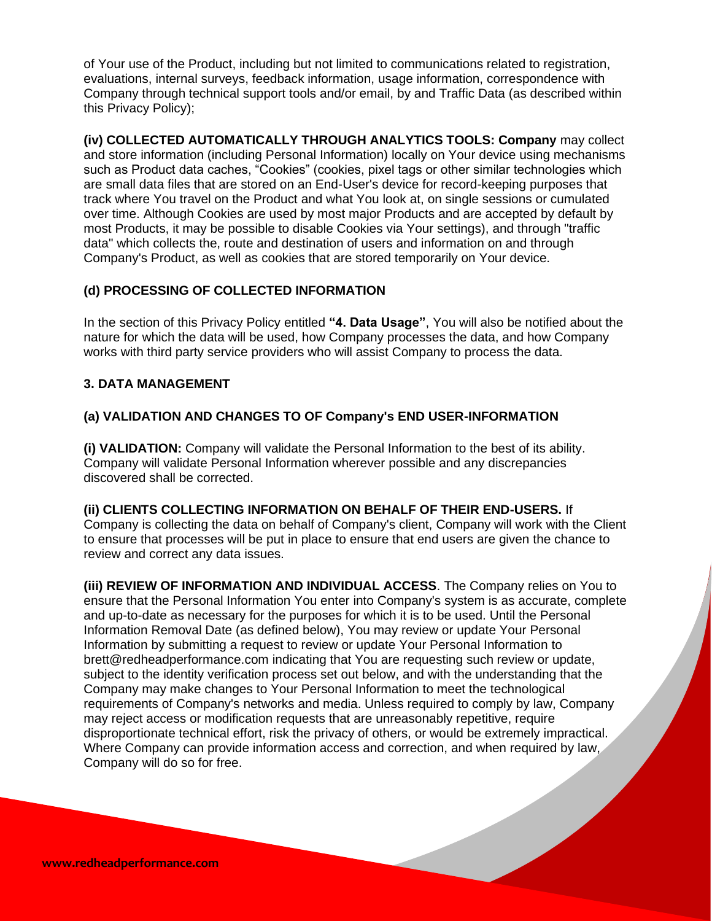of Your use of the Product, including but not limited to communications related to registration, evaluations, internal surveys, feedback information, usage information, correspondence with Company through technical support tools and/or email, by and Traffic Data (as described within this Privacy Policy);

**(iv) COLLECTED AUTOMATICALLY THROUGH ANALYTICS TOOLS: Company** may collect and store information (including Personal Information) locally on Your device using mechanisms such as Product data caches, "Cookies" (cookies, pixel tags or other similar technologies which are small data files that are stored on an End-User's device for record-keeping purposes that track where You travel on the Product and what You look at, on single sessions or cumulated over time. Although Cookies are used by most major Products and are accepted by default by most Products, it may be possible to disable Cookies via Your settings), and through "traffic data" which collects the, route and destination of users and information on and through Company's Product, as well as cookies that are stored temporarily on Your device.

# **(d) PROCESSING OF COLLECTED INFORMATION**

In the section of this Privacy Policy entitled **"4. Data Usage"**, You will also be notified about the nature for which the data will be used, how Company processes the data, and how Company works with third party service providers who will assist Company to process the data.

# **3. DATA MANAGEMENT**

# **(a) VALIDATION AND CHANGES TO OF Company's END USER-INFORMATION**

**(i) VALIDATION:** Company will validate the Personal Information to the best of its ability. Company will validate Personal Information wherever possible and any discrepancies discovered shall be corrected.

**(ii) CLIENTS COLLECTING INFORMATION ON BEHALF OF THEIR END-USERS.** If Company is collecting the data on behalf of Company's client, Company will work with the Client to ensure that processes will be put in place to ensure that end users are given the chance to review and correct any data issues.

**(iii) REVIEW OF INFORMATION AND INDIVIDUAL ACCESS**. The Company relies on You to ensure that the Personal Information You enter into Company's system is as accurate, complete and up-to-date as necessary for the purposes for which it is to be used. Until the Personal Information Removal Date (as defined below), You may review or update Your Personal Information by submitting a request to review or update Your Personal Information to brett@redheadperformance.com indicating that You are requesting such review or update, subject to the identity verification process set out below, and with the understanding that the Company may make changes to Your Personal Information to meet the technological requirements of Company's networks and media. Unless required to comply by law, Company may reject access or modification requests that are unreasonably repetitive, require disproportionate technical effort, risk the privacy of others, or would be extremely impractical. Where Company can provide information access and correction, and when required by law, Company will do so for free.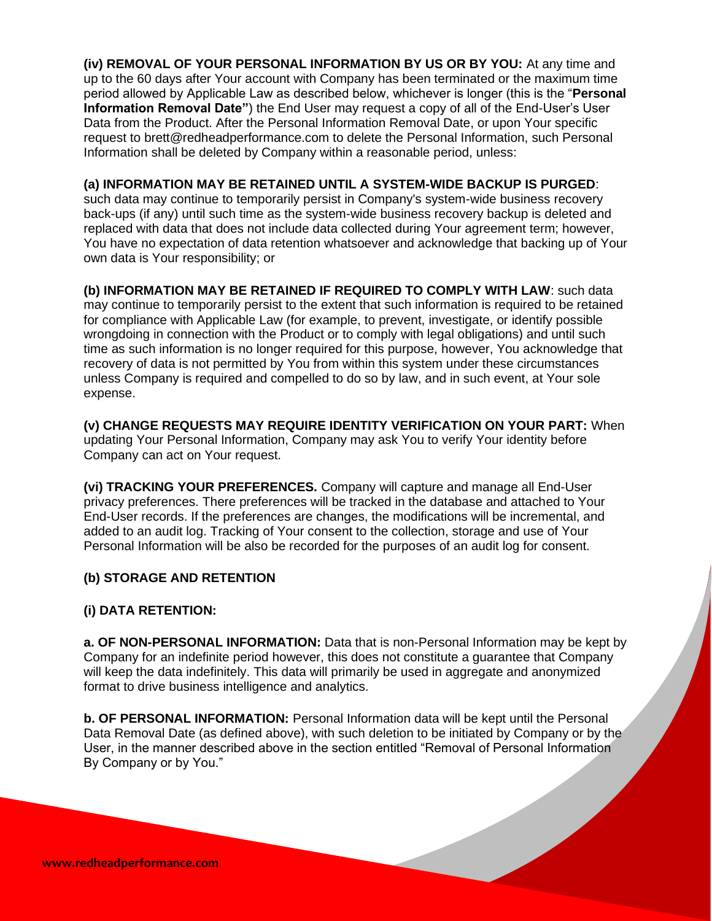**(iv) REMOVAL OF YOUR PERSONAL INFORMATION BY US OR BY YOU:** At any time and up to the 60 days after Your account with Company has been terminated or the maximum time period allowed by Applicable Law as described below, whichever is longer (this is the "**Personal Information Removal Date"**) the End User may request a copy of all of the End-User's User Data from the Product. After the Personal Information Removal Date, or upon Your specific request to brett@redheadperformance.com to delete the Personal Information, such Personal Information shall be deleted by Company within a reasonable period, unless:

## **(a) INFORMATION MAY BE RETAINED UNTIL A SYSTEM-WIDE BACKUP IS PURGED**:

such data may continue to temporarily persist in Company's system-wide business recovery back-ups (if any) until such time as the system-wide business recovery backup is deleted and replaced with data that does not include data collected during Your agreement term; however, You have no expectation of data retention whatsoever and acknowledge that backing up of Your own data is Your responsibility; or

**(b) INFORMATION MAY BE RETAINED IF REQUIRED TO COMPLY WITH LAW**: such data may continue to temporarily persist to the extent that such information is required to be retained for compliance with Applicable Law (for example, to prevent, investigate, or identify possible wrongdoing in connection with the Product or to comply with legal obligations) and until such time as such information is no longer required for this purpose, however, You acknowledge that recovery of data is not permitted by You from within this system under these circumstances unless Company is required and compelled to do so by law, and in such event, at Your sole expense.

**(v) CHANGE REQUESTS MAY REQUIRE IDENTITY VERIFICATION ON YOUR PART:** When updating Your Personal Information, Company may ask You to verify Your identity before Company can act on Your request.

**(vi) TRACKING YOUR PREFERENCES.** Company will capture and manage all End-User privacy preferences. There preferences will be tracked in the database and attached to Your End-User records. If the preferences are changes, the modifications will be incremental, and added to an audit log. Tracking of Your consent to the collection, storage and use of Your Personal Information will be also be recorded for the purposes of an audit log for consent.

## **(b) STORAGE AND RETENTION**

## **(i) DATA RETENTION:**

**a. OF NON-PERSONAL INFORMATION:** Data that is non-Personal Information may be kept by Company for an indefinite period however, this does not constitute a guarantee that Company will keep the data indefinitely. This data will primarily be used in aggregate and anonymized format to drive business intelligence and analytics.

**b. OF PERSONAL INFORMATION:** Personal Information data will be kept until the Personal Data Removal Date (as defined above), with such deletion to be initiated by Company or by the User, in the manner described above in the section entitled "Removal of Personal Information By Company or by You."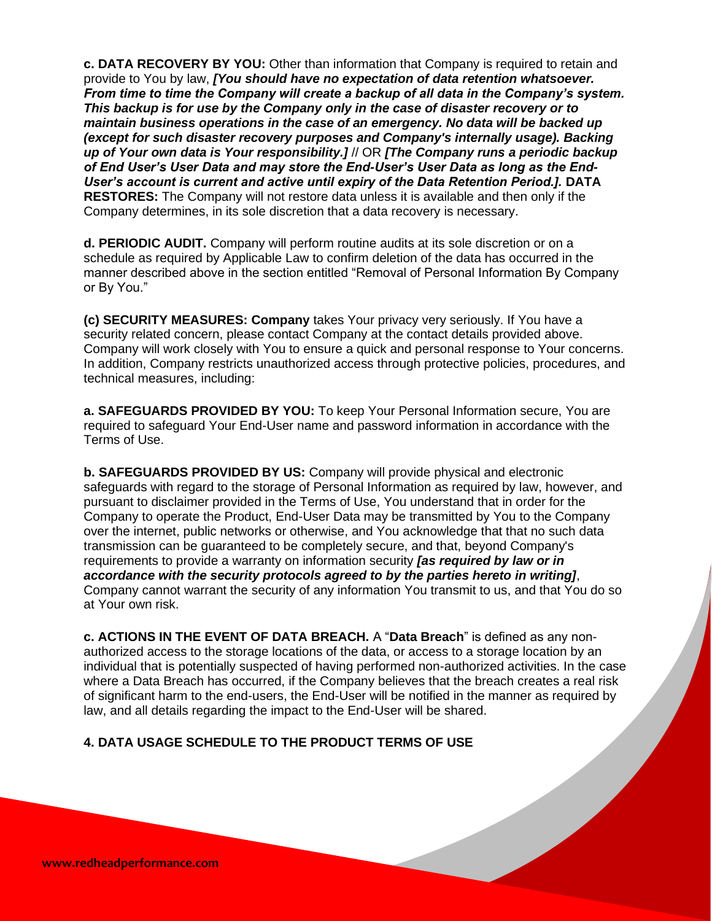**c. DATA RECOVERY BY YOU:** Other than information that Company is required to retain and provide to You by law, *[You should have no expectation of data retention whatsoever. From time to time the Company will create a backup of all data in the Company's system. This backup is for use by the Company only in the case of disaster recovery or to maintain business operations in the case of an emergency. No data will be backed up (except for such disaster recovery purposes and Company's internally usage). Backing up of Your own data is Your responsibility.]* // OR *[The Company runs a periodic backup of End User's User Data and may store the End-User's User Data as long as the End-User's account is current and active until expiry of the Data Retention Period.].* **DATA RESTORES:** The Company will not restore data unless it is available and then only if the Company determines, in its sole discretion that a data recovery is necessary.

**d. PERIODIC AUDIT.** Company will perform routine audits at its sole discretion or on a schedule as required by Applicable Law to confirm deletion of the data has occurred in the manner described above in the section entitled "Removal of Personal Information By Company or By You."

**(c) SECURITY MEASURES: Company** takes Your privacy very seriously. If You have a security related concern, please contact Company at the contact details provided above. Company will work closely with You to ensure a quick and personal response to Your concerns. In addition, Company restricts unauthorized access through protective policies, procedures, and technical measures, including:

**a. SAFEGUARDS PROVIDED BY YOU:** To keep Your Personal Information secure, You are required to safeguard Your End-User name and password information in accordance with the Terms of Use.

**b. SAFEGUARDS PROVIDED BY US:** Company will provide physical and electronic safeguards with regard to the storage of Personal Information as required by law, however, and pursuant to disclaimer provided in the Terms of Use, You understand that in order for the Company to operate the Product, End-User Data may be transmitted by You to the Company over the internet, public networks or otherwise, and You acknowledge that that no such data transmission can be guaranteed to be completely secure, and that, beyond Company's requirements to provide a warranty on information security *[as required by law or in accordance with the security protocols agreed to by the parties hereto in writing]*, Company cannot warrant the security of any information You transmit to us, and that You do so at Your own risk.

**c. ACTIONS IN THE EVENT OF DATA BREACH.** A "**Data Breach**" is defined as any nonauthorized access to the storage locations of the data, or access to a storage location by an individual that is potentially suspected of having performed non-authorized activities. In the case where a Data Breach has occurred, if the Company believes that the breach creates a real risk of significant harm to the end-users, the End-User will be notified in the manner as required by law, and all details regarding the impact to the End-User will be shared.

# **4. DATA USAGE SCHEDULE TO THE PRODUCT TERMS OF USE**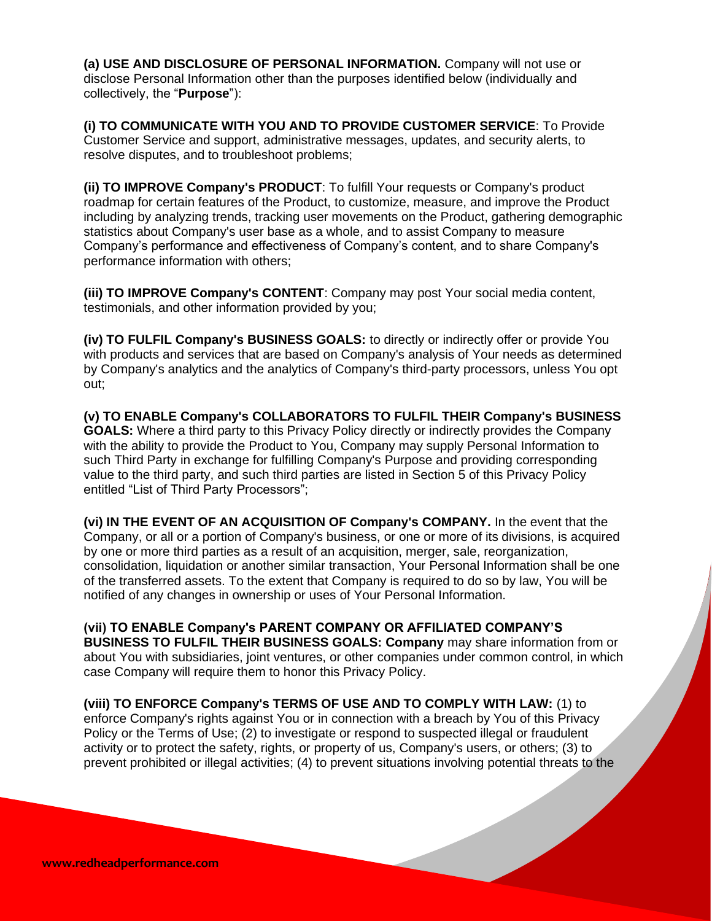**(a) USE AND DISCLOSURE OF PERSONAL INFORMATION.** Company will not use or disclose Personal Information other than the purposes identified below (individually and collectively, the "**Purpose**"):

**(i) TO COMMUNICATE WITH YOU AND TO PROVIDE CUSTOMER SERVICE**: To Provide Customer Service and support, administrative messages, updates, and security alerts, to resolve disputes, and to troubleshoot problems;

**(ii) TO IMPROVE Company's PRODUCT**: To fulfill Your requests or Company's product roadmap for certain features of the Product, to customize, measure, and improve the Product including by analyzing trends, tracking user movements on the Product, gathering demographic statistics about Company's user base as a whole, and to assist Company to measure Company's performance and effectiveness of Company's content, and to share Company's performance information with others;

**(iii) TO IMPROVE Company's CONTENT**: Company may post Your social media content, testimonials, and other information provided by you;

**(iv) TO FULFIL Company's BUSINESS GOALS:** to directly or indirectly offer or provide You with products and services that are based on Company's analysis of Your needs as determined by Company's analytics and the analytics of Company's third-party processors, unless You opt out;

**(v) TO ENABLE Company's COLLABORATORS TO FULFIL THEIR Company's BUSINESS GOALS:** Where a third party to this Privacy Policy directly or indirectly provides the Company with the ability to provide the Product to You, Company may supply Personal Information to such Third Party in exchange for fulfilling Company's Purpose and providing corresponding value to the third party, and such third parties are listed in Section 5 of this Privacy Policy entitled "List of Third Party Processors";

**(vi) IN THE EVENT OF AN ACQUISITION OF Company's COMPANY.** In the event that the Company, or all or a portion of Company's business, or one or more of its divisions, is acquired by one or more third parties as a result of an acquisition, merger, sale, reorganization, consolidation, liquidation or another similar transaction, Your Personal Information shall be one of the transferred assets. To the extent that Company is required to do so by law, You will be notified of any changes in ownership or uses of Your Personal Information.

**(vii) TO ENABLE Company's PARENT COMPANY OR AFFILIATED COMPANY'S BUSINESS TO FULFIL THEIR BUSINESS GOALS: Company** may share information from or about You with subsidiaries, joint ventures, or other companies under common control, in which case Company will require them to honor this Privacy Policy.

**(viii) TO ENFORCE Company's TERMS OF USE AND TO COMPLY WITH LAW:** (1) to enforce Company's rights against You or in connection with a breach by You of this Privacy Policy or the Terms of Use; (2) to investigate or respond to suspected illegal or fraudulent activity or to protect the safety, rights, or property of us, Company's users, or others; (3) to prevent prohibited or illegal activities; (4) to prevent situations involving potential threats to the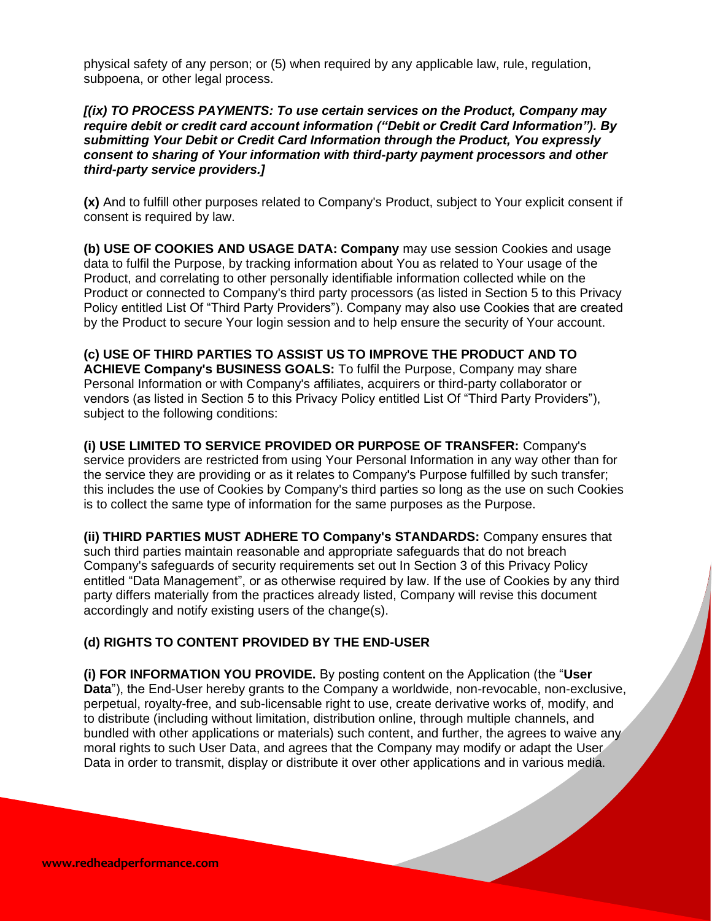physical safety of any person; or (5) when required by any applicable law, rule, regulation, subpoena, or other legal process.

## *[(ix) TO PROCESS PAYMENTS: To use certain services on the Product, Company may require debit or credit card account information ("Debit or Credit Card Information"). By submitting Your Debit or Credit Card Information through the Product, You expressly consent to sharing of Your information with third-party payment processors and other third-party service providers.]*

**(x)** And to fulfill other purposes related to Company's Product, subject to Your explicit consent if consent is required by law.

**(b) USE OF COOKIES AND USAGE DATA: Company** may use session Cookies and usage data to fulfil the Purpose, by tracking information about You as related to Your usage of the Product, and correlating to other personally identifiable information collected while on the Product or connected to Company's third party processors (as listed in Section 5 to this Privacy Policy entitled List Of "Third Party Providers"). Company may also use Cookies that are created by the Product to secure Your login session and to help ensure the security of Your account.

**(c) USE OF THIRD PARTIES TO ASSIST US TO IMPROVE THE PRODUCT AND TO ACHIEVE Company's BUSINESS GOALS:** To fulfil the Purpose, Company may share Personal Information or with Company's affiliates, acquirers or third-party collaborator or vendors (as listed in Section 5 to this Privacy Policy entitled List Of "Third Party Providers"), subject to the following conditions:

**(i) USE LIMITED TO SERVICE PROVIDED OR PURPOSE OF TRANSFER:** Company's service providers are restricted from using Your Personal Information in any way other than for the service they are providing or as it relates to Company's Purpose fulfilled by such transfer; this includes the use of Cookies by Company's third parties so long as the use on such Cookies is to collect the same type of information for the same purposes as the Purpose.

**(ii) THIRD PARTIES MUST ADHERE TO Company's STANDARDS:** Company ensures that such third parties maintain reasonable and appropriate safeguards that do not breach Company's safeguards of security requirements set out In Section 3 of this Privacy Policy entitled "Data Management", or as otherwise required by law. If the use of Cookies by any third party differs materially from the practices already listed, Company will revise this document accordingly and notify existing users of the change(s).

## **(d) RIGHTS TO CONTENT PROVIDED BY THE END-USER**

**(i) FOR INFORMATION YOU PROVIDE.** By posting content on the Application (the "**User Data**"), the End-User hereby grants to the Company a worldwide, non-revocable, non-exclusive, perpetual, royalty-free, and sub-licensable right to use, create derivative works of, modify, and to distribute (including without limitation, distribution online, through multiple channels, and bundled with other applications or materials) such content, and further, the agrees to waive any moral rights to such User Data, and agrees that the Company may modify or adapt the User Data in order to transmit, display or distribute it over other applications and in various media.